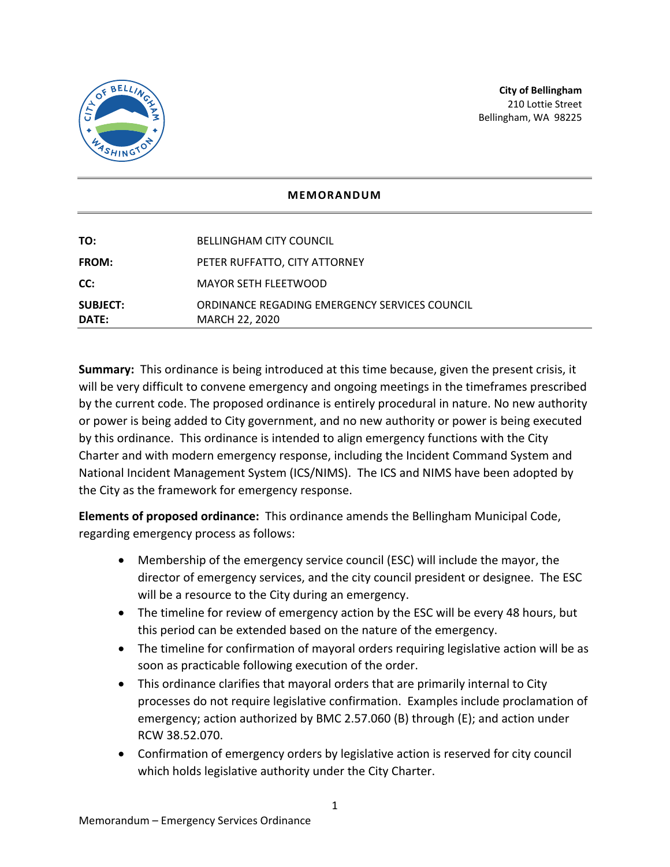

## **MEMORANDUM**

| <b>SUBJECT:</b><br>DATE: | ORDINANCE REGADING EMERGENCY SERVICES COUNCIL<br>MARCH 22, 2020 |
|--------------------------|-----------------------------------------------------------------|
| CC:                      | MAYOR SETH FLEETWOOD                                            |
| <b>FROM:</b>             | PETER RUFFATTO, CITY ATTORNEY                                   |
| TO:                      | <b>BELLINGHAM CITY COUNCIL</b>                                  |

**Summary:** This ordinance is being introduced at this time because, given the present crisis, it will be very difficult to convene emergency and ongoing meetings in the timeframes prescribed by the current code. The proposed ordinance is entirely procedural in nature. No new authority or power is being added to City government, and no new authority or power is being executed by this ordinance. This ordinance is intended to align emergency functions with the City Charter and with modern emergency response, including the Incident Command System and National Incident Management System (ICS/NIMS). The ICS and NIMS have been adopted by the City as the framework for emergency response.

**Elements of proposed ordinance:** This ordinance amends the Bellingham Municipal Code, regarding emergency process as follows:

- Membership of the emergency service council (ESC) will include the mayor, the director of emergency services, and the city council president or designee. The ESC will be a resource to the City during an emergency.
- The timeline for review of emergency action by the ESC will be every 48 hours, but this period can be extended based on the nature of the emergency.
- The timeline for confirmation of mayoral orders requiring legislative action will be as soon as practicable following execution of the order.
- This ordinance clarifies that mayoral orders that are primarily internal to City processes do not require legislative confirmation. Examples include proclamation of emergency; action authorized by BMC 2.57.060 (B) through (E); and action under RCW 38.52.070.
- Confirmation of emergency orders by legislative action is reserved for city council which holds legislative authority under the City Charter.